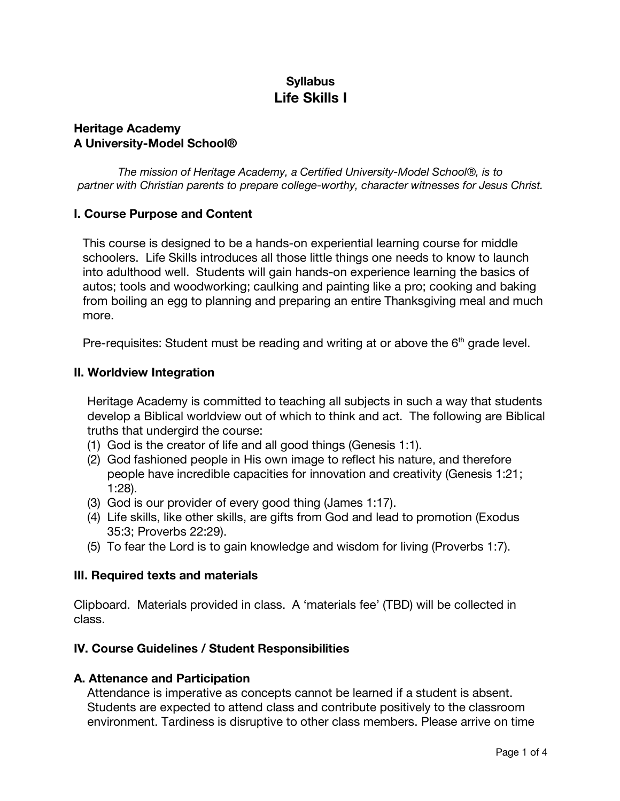# **Syllabus Life Skills I**

#### **Heritage Academy A University-Model School®**

*The mission of Heritage Academy, a Certified University-Model School®, is to partner with Christian parents to prepare college-worthy, character witnesses for Jesus Christ.*

### **I. Course Purpose and Content**

This course is designed to be a hands-on experiential learning course for middle schoolers. Life Skills introduces all those little things one needs to know to launch into adulthood well. Students will gain hands-on experience learning the basics of autos; tools and woodworking; caulking and painting like a pro; cooking and baking from boiling an egg to planning and preparing an entire Thanksgiving meal and much more.

Pre-requisites: Student must be reading and writing at or above the  $6<sup>th</sup>$  grade level.

### **II. Worldview Integration**

Heritage Academy is committed to teaching all subjects in such a way that students develop a Biblical worldview out of which to think and act. The following are Biblical truths that undergird the course:

- (1) God is the creator of life and all good things (Genesis 1:1).
- (2) God fashioned people in His own image to reflect his nature, and therefore people have incredible capacities for innovation and creativity (Genesis 1:21; 1:28).
- (3) God is our provider of every good thing (James 1:17).
- (4) Life skills, like other skills, are gifts from God and lead to promotion (Exodus 35:3; Proverbs 22:29).
- (5) To fear the Lord is to gain knowledge and wisdom for living (Proverbs 1:7).

### **III. Required texts and materials**

Clipboard. Materials provided in class. A 'materials fee' (TBD) will be collected in class.

### **IV. Course Guidelines / Student Responsibilities**

#### **A. Attenance and Participation**

Attendance is imperative as concepts cannot be learned if a student is absent. Students are expected to attend class and contribute positively to the classroom environment. Tardiness is disruptive to other class members. Please arrive on time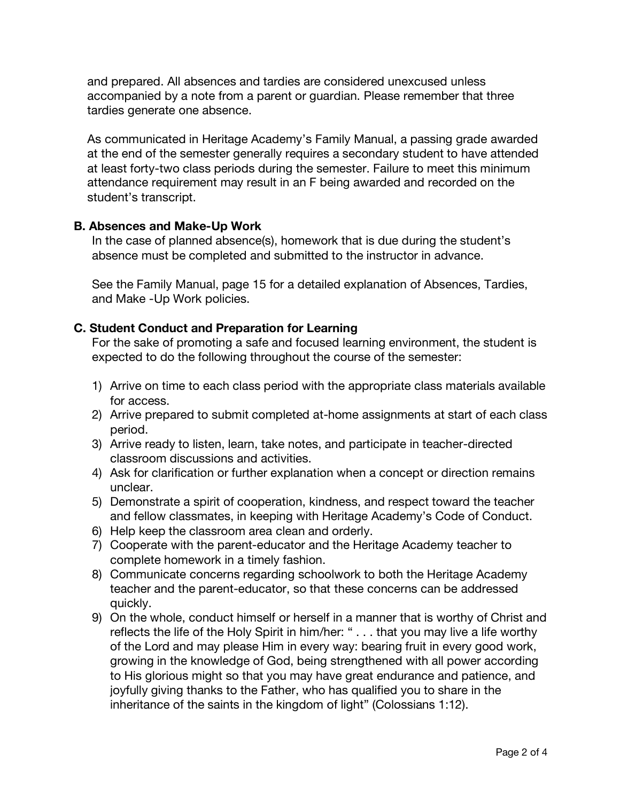and prepared. All absences and tardies are considered unexcused unless accompanied by a note from a parent or guardian. Please remember that three tardies generate one absence.

As communicated in Heritage Academy's Family Manual, a passing grade awarded at the end of the semester generally requires a secondary student to have attended at least forty-two class periods during the semester. Failure to meet this minimum attendance requirement may result in an F being awarded and recorded on the student's transcript.

#### **B. Absences and Make-Up Work**

In the case of planned absence(s), homework that is due during the student's absence must be completed and submitted to the instructor in advance.

See the Family Manual, page 15 for a detailed explanation of Absences, Tardies, and Make -Up Work policies.

### **C. Student Conduct and Preparation for Learning**

For the sake of promoting a safe and focused learning environment, the student is expected to do the following throughout the course of the semester:

- 1) Arrive on time to each class period with the appropriate class materials available for access.
- 2) Arrive prepared to submit completed at-home assignments at start of each class period.
- 3) Arrive ready to listen, learn, take notes, and participate in teacher-directed classroom discussions and activities.
- 4) Ask for clarification or further explanation when a concept or direction remains unclear.
- 5) Demonstrate a spirit of cooperation, kindness, and respect toward the teacher and fellow classmates, in keeping with Heritage Academy's Code of Conduct.
- 6) Help keep the classroom area clean and orderly.
- 7) Cooperate with the parent-educator and the Heritage Academy teacher to complete homework in a timely fashion.
- 8) Communicate concerns regarding schoolwork to both the Heritage Academy teacher and the parent-educator, so that these concerns can be addressed quickly.
- 9) On the whole, conduct himself or herself in a manner that is worthy of Christ and reflects the life of the Holy Spirit in him/her: " . . . that you may live a life worthy of the Lord and may please Him in every way: bearing fruit in every good work, growing in the knowledge of God, being strengthened with all power according to His glorious might so that you may have great endurance and patience, and joyfully giving thanks to the Father, who has qualified you to share in the inheritance of the saints in the kingdom of light" (Colossians 1:12).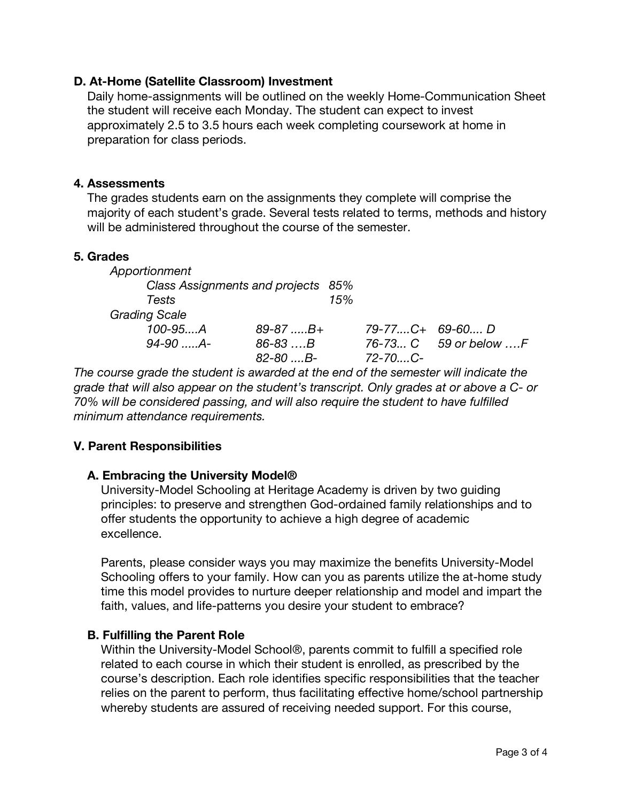### **D. At-Home (Satellite Classroom) Investment**

Daily home-assignments will be outlined on the weekly Home-Communication Sheet the student will receive each Monday. The student can expect to invest approximately 2.5 to 3.5 hours each week completing coursework at home in preparation for class periods.

### **4. Assessments**

The grades students earn on the assignments they complete will comprise the majority of each student's grade. Several tests related to terms, methods and history will be administered throughout the course of the semester.

### **5. Grades**

| Apportionment                      |                 |     |                                     |                       |
|------------------------------------|-----------------|-----|-------------------------------------|-----------------------|
| Class Assignments and projects 85% |                 |     |                                     |                       |
| Tests                              |                 | 15% |                                     |                       |
| <b>Grading Scale</b>               |                 |     |                                     |                       |
| $100 - 95 A$                       | $89 - 87$ $B +$ |     | $79 - 77 \dots C + 69 - 60 \dots D$ |                       |
| $94 - 90$ $A -$                    | $86 - 83$ B     |     |                                     | 76-73 C 59 or below F |
|                                    | $82 - 80$ B-    |     | $72 - 70$ C-                        |                       |

*The course grade the student is awarded at the end of the semester will indicate the grade that will also appear on the student's transcript. Only grades at or above a C- or 70% will be considered passing, and will also require the student to have fulfilled minimum attendance requirements.*

# **V. Parent Responsibilities**

# **A. Embracing the University Model®**

University-Model Schooling at Heritage Academy is driven by two guiding principles: to preserve and strengthen God-ordained family relationships and to offer students the opportunity to achieve a high degree of academic excellence.

Parents, please consider ways you may maximize the benefits University-Model Schooling offers to your family. How can you as parents utilize the at-home study time this model provides to nurture deeper relationship and model and impart the faith, values, and life-patterns you desire your student to embrace?

# **B. Fulfilling the Parent Role**

Within the University-Model School®, parents commit to fulfill a specified role related to each course in which their student is enrolled, as prescribed by the course's description. Each role identifies specific responsibilities that the teacher relies on the parent to perform, thus facilitating effective home/school partnership whereby students are assured of receiving needed support. For this course,